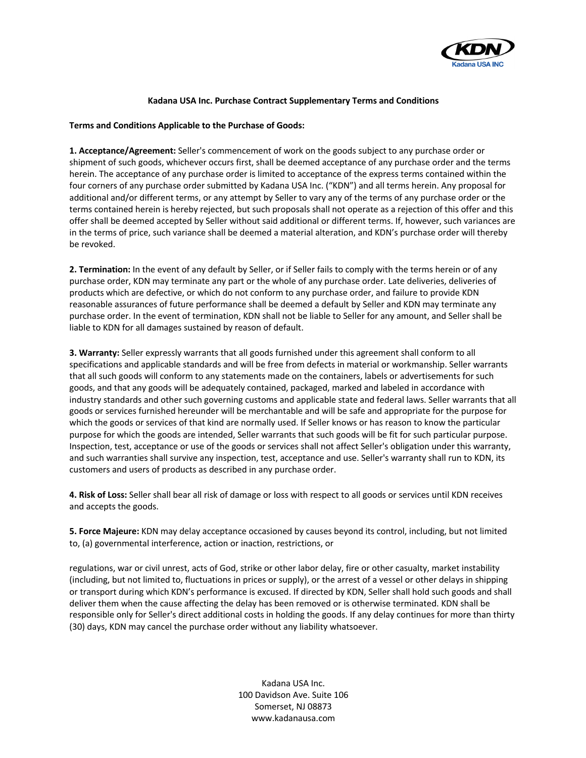

## **Kadana USA Inc. Purchase Contract Supplementary Terms and Conditions**

## **Terms and Conditions Applicable to the Purchase of Goods:**

**1. Acceptance/Agreement:** Seller's commencement of work on the goods subject to any purchase order or shipment of such goods, whichever occurs first, shall be deemed acceptance of any purchase order and the terms herein. The acceptance of any purchase order is limited to acceptance of the express terms contained within the four corners of any purchase order submitted by Kadana USA Inc. ("KDN") and all terms herein. Any proposal for additional and/or different terms, or any attempt by Seller to vary any of the terms of any purchase order or the terms contained herein is hereby rejected, but such proposals shall not operate as a rejection of this offer and this offer shall be deemed accepted by Seller without said additional or different terms. If, however, such variances are in the terms of price, such variance shall be deemed a material alteration, and KDN's purchase order will thereby be revoked.

**2. Termination:** In the event of any default by Seller, or if Seller fails to comply with the terms herein or of any purchase order, KDN may terminate any part or the whole of any purchase order. Late deliveries, deliveries of products which are defective, or which do not conform to any purchase order, and failure to provide KDN reasonable assurances of future performance shall be deemed a default by Seller and KDN may terminate any purchase order. In the event of termination, KDN shall not be liable to Seller for any amount, and Seller shall be liable to KDN for all damages sustained by reason of default.

**3. Warranty:** Seller expressly warrants that all goods furnished under this agreement shall conform to all specifications and applicable standards and will be free from defects in material or workmanship. Seller warrants that all such goods will conform to any statements made on the containers, labels or advertisements for such goods, and that any goods will be adequately contained, packaged, marked and labeled in accordance with industry standards and other such governing customs and applicable state and federal laws. Seller warrants that all goods or services furnished hereunder will be merchantable and will be safe and appropriate for the purpose for which the goods or services of that kind are normally used. If Seller knows or has reason to know the particular purpose for which the goods are intended, Seller warrants that such goods will be fit for such particular purpose. Inspection, test, acceptance or use of the goods or services shall not affect Seller's obligation under this warranty, and such warranties shall survive any inspection, test, acceptance and use. Seller's warranty shall run to KDN, its customers and users of products as described in any purchase order.

**4. Risk of Loss:** Seller shall bear all risk of damage or loss with respect to all goods or services until KDN receives and accepts the goods.

**5. Force Majeure:** KDN may delay acceptance occasioned by causes beyond its control, including, but not limited to, (a) governmental interference, action or inaction, restrictions, or

regulations, war or civil unrest, acts of God, strike or other labor delay, fire or other casualty, market instability (including, but not limited to, fluctuations in prices or supply), or the arrest of a vessel or other delays in shipping or transport during which KDN's performance is excused. If directed by KDN, Seller shall hold such goods and shall deliver them when the cause affecting the delay has been removed or is otherwise terminated. KDN shall be responsible only for Seller's direct additional costs in holding the goods. If any delay continues for more than thirty (30) days, KDN may cancel the purchase order without any liability whatsoever.

> Kadana USA Inc. 100 Davidson Ave. Suite 106 Somerset, NJ 08873 www.kadanausa.com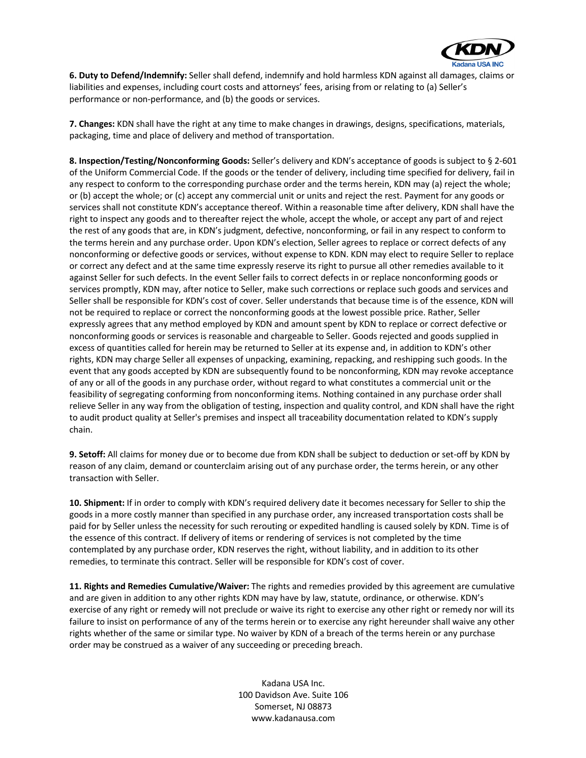

**6. Duty to Defend/Indemnify:** Seller shall defend, indemnify and hold harmless KDN against all damages, claims or liabilities and expenses, including court costs and attorneys' fees, arising from or relating to (a) Seller's performance or non-performance, and (b) the goods or services.

**7. Changes:** KDN shall have the right at any time to make changes in drawings, designs, specifications, materials, packaging, time and place of delivery and method of transportation.

**8. Inspection/Testing/Nonconforming Goods:** Seller's delivery and KDN's acceptance of goods is subject to § 2-601 of the Uniform Commercial Code. If the goods or the tender of delivery, including time specified for delivery, fail in any respect to conform to the corresponding purchase order and the terms herein, KDN may (a) reject the whole; or (b) accept the whole; or (c) accept any commercial unit or units and reject the rest. Payment for any goods or services shall not constitute KDN's acceptance thereof. Within a reasonable time after delivery, KDN shall have the right to inspect any goods and to thereafter reject the whole, accept the whole, or accept any part of and reject the rest of any goods that are, in KDN's judgment, defective, nonconforming, or fail in any respect to conform to the terms herein and any purchase order. Upon KDN's election, Seller agrees to replace or correct defects of any nonconforming or defective goods or services, without expense to KDN. KDN may elect to require Seller to replace or correct any defect and at the same time expressly reserve its right to pursue all other remedies available to it against Seller for such defects. In the event Seller fails to correct defects in or replace nonconforming goods or services promptly, KDN may, after notice to Seller, make such corrections or replace such goods and services and Seller shall be responsible for KDN's cost of cover. Seller understands that because time is of the essence, KDN will not be required to replace or correct the nonconforming goods at the lowest possible price. Rather, Seller expressly agrees that any method employed by KDN and amount spent by KDN to replace or correct defective or nonconforming goods or services is reasonable and chargeable to Seller. Goods rejected and goods supplied in excess of quantities called for herein may be returned to Seller at its expense and, in addition to KDN's other rights, KDN may charge Seller all expenses of unpacking, examining, repacking, and reshipping such goods. In the event that any goods accepted by KDN are subsequently found to be nonconforming, KDN may revoke acceptance of any or all of the goods in any purchase order, without regard to what constitutes a commercial unit or the feasibility of segregating conforming from nonconforming items. Nothing contained in any purchase order shall relieve Seller in any way from the obligation of testing, inspection and quality control, and KDN shall have the right to audit product quality at Seller's premises and inspect all traceability documentation related to KDN's supply chain.

**9. Setoff:** All claims for money due or to become due from KDN shall be subject to deduction or set-off by KDN by reason of any claim, demand or counterclaim arising out of any purchase order, the terms herein, or any other transaction with Seller.

**10. Shipment:** If in order to comply with KDN's required delivery date it becomes necessary for Seller to ship the goods in a more costly manner than specified in any purchase order, any increased transportation costs shall be paid for by Seller unless the necessity for such rerouting or expedited handling is caused solely by KDN. Time is of the essence of this contract. If delivery of items or rendering of services is not completed by the time contemplated by any purchase order, KDN reserves the right, without liability, and in addition to its other remedies, to terminate this contract. Seller will be responsible for KDN's cost of cover.

**11. Rights and Remedies Cumulative/Waiver:** The rights and remedies provided by this agreement are cumulative and are given in addition to any other rights KDN may have by law, statute, ordinance, or otherwise. KDN's exercise of any right or remedy will not preclude or waive its right to exercise any other right or remedy nor will its failure to insist on performance of any of the terms herein or to exercise any right hereunder shall waive any other rights whether of the same or similar type. No waiver by KDN of a breach of the terms herein or any purchase order may be construed as a waiver of any succeeding or preceding breach.

> Kadana USA Inc. 100 Davidson Ave. Suite 106 Somerset, NJ 08873 www.kadanausa.com